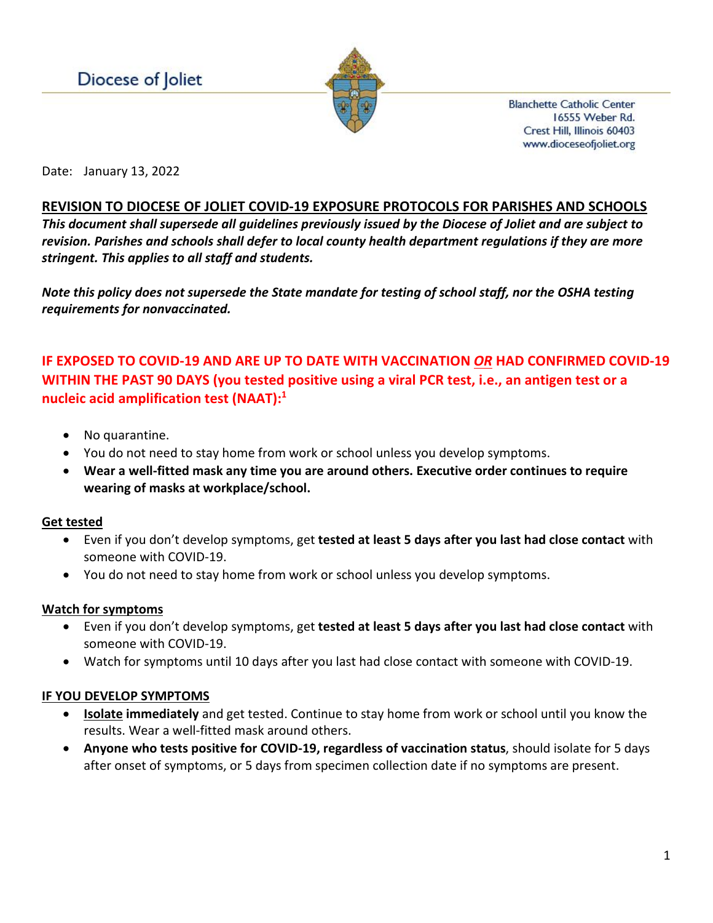

**Blanchette Catholic Center** 16555 Weber Rd. Crest Hill, Illinois 60403 www.dioceseofjoliet.org

Date: January 13, 2022

# **REVISION TO DIOCESE OF JOLIET COVID-19 EXPOSURE PROTOCOLS FOR PARISHES AND SCHOOLS**

*This document shall supersede all guidelines previously issued by the Diocese of Joliet and are subject to revision. Parishes and schools shall defer to local county health department regulations if they are more stringent. This applies to all staff and students.*

*Note this policy does not supersede the State mandate for testing of school staff, nor the OSHA testing requirements for nonvaccinated.*

# **IF EXPOSED TO COVID-19 AND ARE UP TO DATE WITH VACCINATION** *OR* **HAD CONFIRMED COVID-19 WITHIN THE PAST 90 DAYS (you tested positive using a viral PCR test, i.e., an antigen test or a nucleic acid amplification test (NAAT):1**

- No quarantine.
- You do not need to stay home from work or school unless you develop symptoms.
- **Wear a well-fitted mask any time you are around others. Executive order continues to require wearing of masks at workplace/school.**

## **Get tested**

- Even if you don't develop symptoms, get **tested at least 5 days after you last had close contact** with someone with COVID-19.
- You do not need to stay home from work or school unless you develop symptoms.

## **Watch for symptoms**

- Even if you don't develop symptoms, get **tested at least 5 days after you last had close contact** with someone with COVID-19.
- Watch for symptoms until 10 days after you last had close contact with someone with COVID-19.

## **IF YOU DEVELOP SYMPTOMS**

- **[Isolate](https://www.cdc.gov/coronavirus/2019-ncov/your-health/quarantine-isolation.html#isolate) immediately** and get tested. Continue to stay home from work or school until you know the results. Wear a well-fitted mask around others.
- **Anyone who tests positive for COVID-19, regardless of vaccination status**, should isolate for 5 days after onset of symptoms, or 5 days from specimen collection date if no symptoms are present.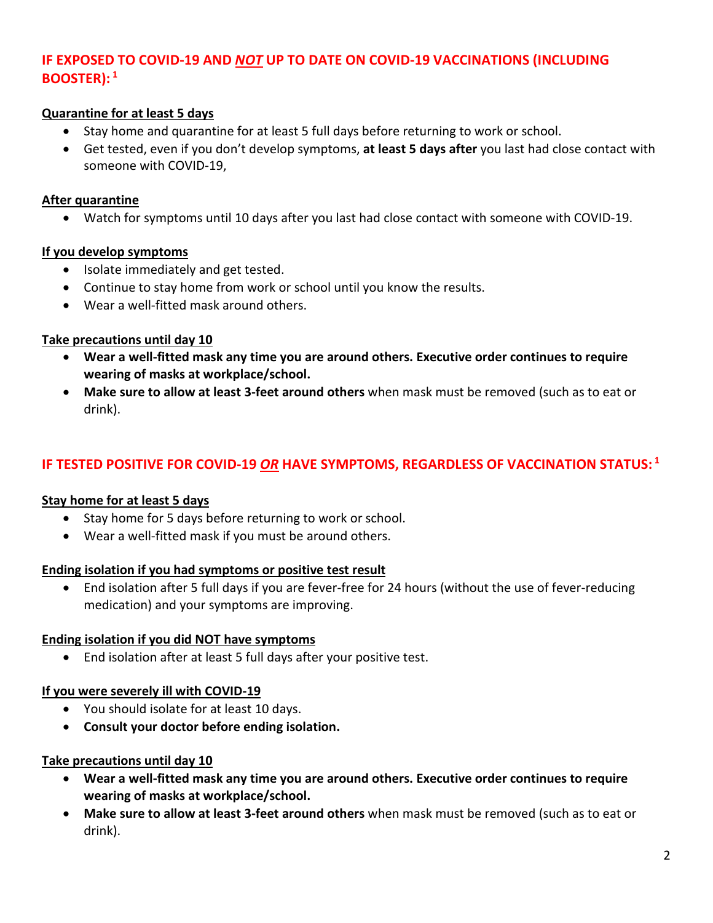# **IF EXPOSED TO COVID-19 AND** *NOT* **UP TO DATE ON COVID-19 VACCINATIONS (INCLUDING BOOSTER): <sup>1</sup>**

## **Quarantine for at least 5 days**

- Stay home and quarantine for at least 5 full days before returning to work or school.
- Get tested, even if you don't develop symptoms, **at least 5 days after** you last had close contact with someone with COVID-19,

#### **After quarantine**

• Watch for symptoms until 10 days after you last had close contact with someone with COVID-19.

## **If you develop symptoms**

- Isolate immediately and get tested.
- Continue to stay home from work or school until you know the results.
- Wear a well-fitted mask around others.

## **Take precautions until day 10**

- **Wear a well-fitted mask any time you are around others. Executive order continues to require wearing of masks at workplace/school.**
- **Make sure to allow at least 3-feet around others** when mask must be removed (such as to eat or drink).

# **IF TESTED POSITIVE FOR COVID-19** *OR* **HAVE SYMPTOMS, REGARDLESS OF VACCINATION STATUS: <sup>1</sup>**

## **Stay home for at least 5 days**

- Stay home for 5 days before returning to work or school.
- Wear a well-fitted mask if you must be around others.

## **Ending isolation if you had symptoms or positive test result**

• End isolation after 5 full days if you are fever-free for 24 hours (without the use of fever-reducing medication) and your symptoms are improving.

## **Ending isolation if you did NOT have symptoms**

• End isolation after at least 5 full days after your positive test.

## **If you were severely ill with COVID-19**

- You should isolate for at least 10 days.
- **Consult your doctor before ending isolation.**

## **Take precautions until day 10**

- **Wear a well-fitted mask any time you are around others. Executive order continues to require wearing of masks at workplace/school.**
- **Make sure to allow at least 3-feet around others** when mask must be removed (such as to eat or drink).